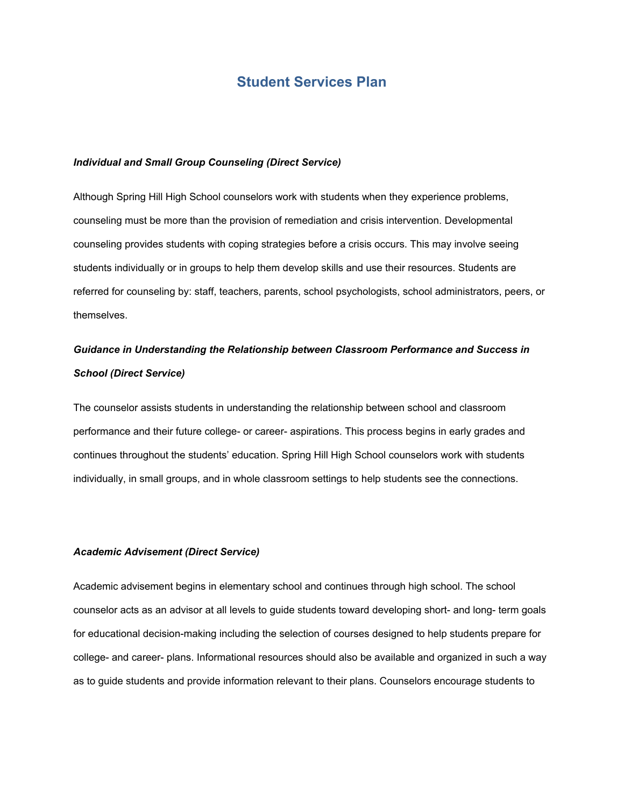## **Student Services Plan**

#### *Individual and Small Group Counseling (Direct Service)*

Although Spring Hill High School counselors work with students when they experience problems, counseling must be more than the provision of remediation and crisis intervention. Developmental counseling provides students with coping strategies before a crisis occurs. This may involve seeing students individually or in groups to help them develop skills and use their resources. Students are referred for counseling by: staff, teachers, parents, school psychologists, school administrators, peers, or themselves.

## *Guidance in Understanding the Relationship between Classroom Performance and Success in School (Direct Service)*

The counselor assists students in understanding the relationship between school and classroom performance and their future college- or career- aspirations. This process begins in early grades and continues throughout the students' education. Spring Hill High School counselors work with students individually, in small groups, and in whole classroom settings to help students see the connections.

### *Academic Advisement (Direct Service)*

Academic advisement begins in elementary school and continues through high school. The school counselor acts as an advisor at all levels to guide students toward developing short- and long- term goals for educational decision-making including the selection of courses designed to help students prepare for college- and career- plans. Informational resources should also be available and organized in such a way as to guide students and provide information relevant to their plans. Counselors encourage students to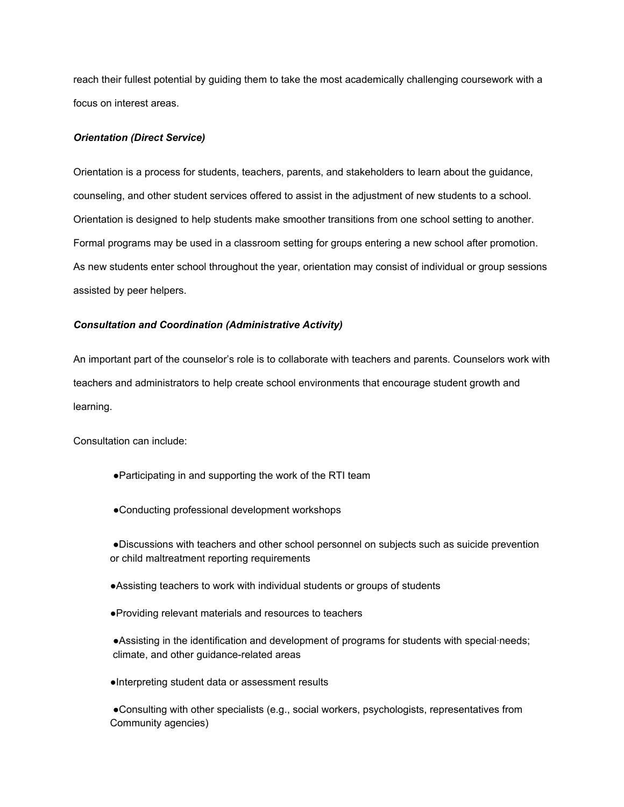reach their fullest potential by guiding them to take the most academically challenging coursework with a focus on interest areas.

### *Orientation (Direct Service)*

Orientation is a process for students, teachers, parents, and stakeholders to learn about the guidance, counseling, and other student services offered to assist in the adjustment of new students to a school. Orientation is designed to help students make smoother transitions from one school setting to another. Formal programs may be used in a classroom setting for groups entering a new school after promotion. As new students enter school throughout the year, orientation may consist of individual or group sessions assisted by peer helpers.

### *Consultation and Coordination (Administrative Activity)*

An important part of the counselor's role is to collaborate with teachers and parents. Counselors work with teachers and administrators to help create school environments that encourage student growth and learning.

Consultation can include:

- ●Participating in and supporting the work of the RTI team
- ●Conducting professional development workshops

●Discussions with teachers and other school personnel on subjects such as suicide prevention or child maltreatment reporting requirements

- ●Assisting teachers to work with individual students or groups of students
- ●Providing relevant materials and resources to teachers
- ●Assisting in the identification and development of programs for students with special·needs; climate, and other guidance-related areas
- ●Interpreting student data or assessment results

●Consulting with other specialists (e.g., social workers, psychologists, representatives from Community agencies)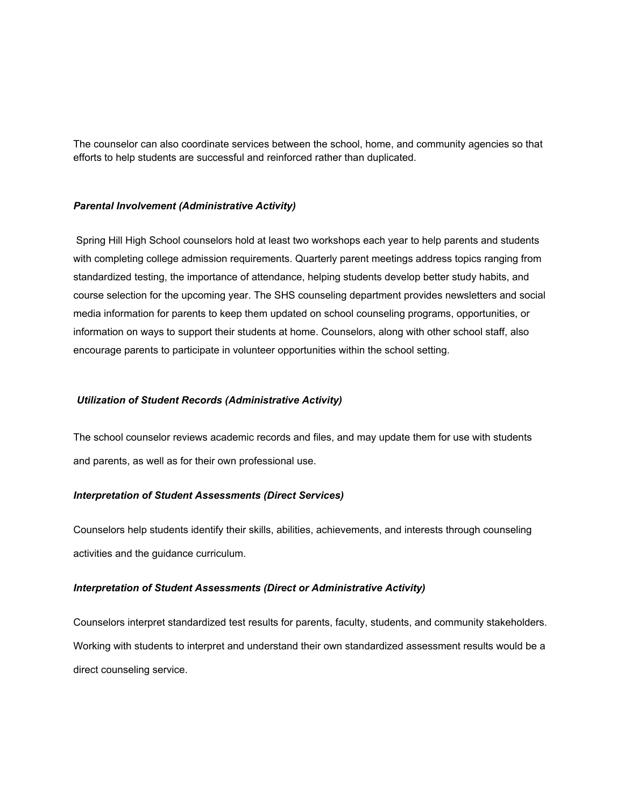The counselor can also coordinate services between the school, home, and community agencies so that efforts to help students are successful and reinforced rather than duplicated.

#### *Parental Involvement (Administrative Activity)*

Spring Hill High School counselors hold at least two workshops each year to help parents and students with completing college admission requirements. Quarterly parent meetings address topics ranging from standardized testing, the importance of attendance, helping students develop better study habits, and course selection for the upcoming year. The SHS counseling department provides newsletters and social media information for parents to keep them updated on school counseling programs, opportunities, or information on ways to support their students at home. Counselors, along with other school staff, also encourage parents to participate in volunteer opportunities within the school setting.

#### *Utilization of Student Records (Administrative Activity)*

The school counselor reviews academic records and files, and may update them for use with students and parents, as well as for their own professional use.

### *Interpretation of Student Assessments (Direct Services)*

Counselors help students identify their skills, abilities, achievements, and interests through counseling activities and the guidance curriculum.

### *Interpretation of Student Assessments (Direct or Administrative Activity)*

Counselors interpret standardized test results for parents, faculty, students, and community stakeholders. Working with students to interpret and understand their own standardized assessment results would be a direct counseling service.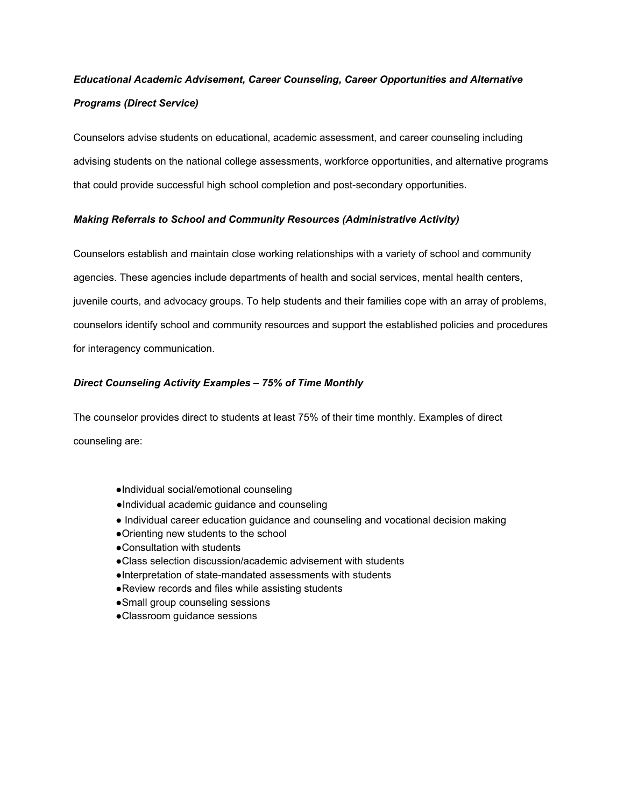# *Educational Academic Advisement, Career Counseling, Career Opportunities and Alternative Programs (Direct Service)*

Counselors advise students on educational, academic assessment, and career counseling including advising students on the national college assessments, workforce opportunities, and alternative programs that could provide successful high school completion and post-secondary opportunities.

## *Making Referrals to School and Community Resources (Administrative Activity)*

Counselors establish and maintain close working relationships with a variety of school and community agencies. These agencies include departments of health and social services, mental health centers, juvenile courts, and advocacy groups. To help students and their families cope with an array of problems, counselors identify school and community resources and support the established policies and procedures for interagency communication.

## *Direct Counseling Activity Examples – 75% of Time Monthly*

The counselor provides direct to students at least 75% of their time monthly. Examples of direct counseling are:

- ●Individual social/emotional counseling
- ●Individual academic guidance and counseling
- Individual career education guidance and counseling and vocational decision making
- ●Orienting new students to the school
- ●Consultation with students
- ●Class selection discussion/academic advisement with students
- ●Interpretation of state-mandated assessments with students
- ●Review records and files while assisting students
- ●Small group counseling sessions
- ●Classroom guidance sessions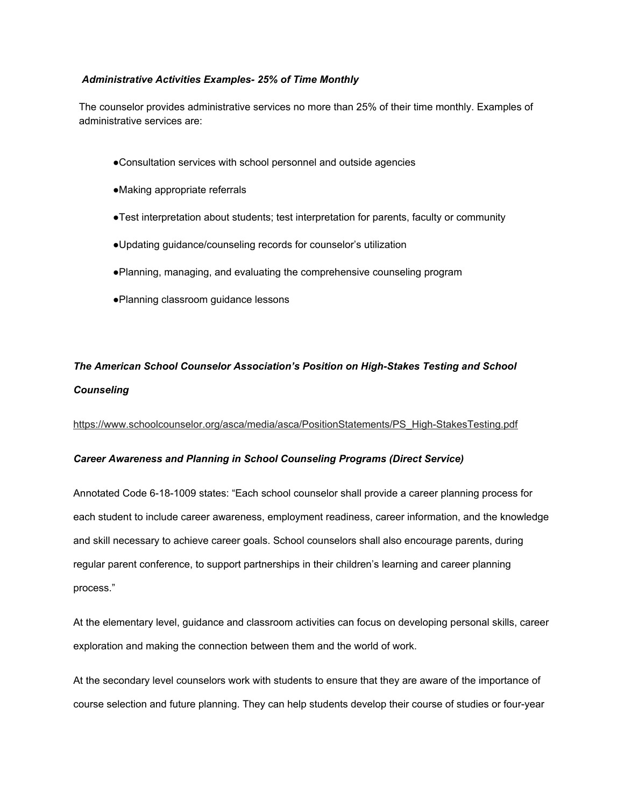### *Administrative Activities Examples- 25% of Time Monthly*

The counselor provides administrative services no more than 25% of their time monthly. Examples of administrative services are:

- ●Consultation services with school personnel and outside agencies
- ●Making appropriate referrals
- ●Test interpretation about students; test interpretation for parents, faculty or community
- ●Updating guidance/counseling records for counselor's utilization
- ●Planning, managing, and evaluating the comprehensive counseling program
- ●Planning classroom guidance lessons

## *The American School Counselor Association's Position on High-Stakes Testing and School Counseling*

[https://www.schoolcounselor.org/asca/media/asca/PositionStatements/PS\\_High-StakesTesting.pdf](https://www.schoolcounselor.org/asca/media/asca/PositionStatements/PS_High-StakesTesting.pdf)

## *Career Awareness and Planning in School Counseling Programs (Direct Service)*

Annotated Code 6-18-1009 states: "Each school counselor shall provide a career planning process for each student to include career awareness, employment readiness, career information, and the knowledge and skill necessary to achieve career goals. School counselors shall also encourage parents, during regular parent conference, to support partnerships in their children's learning and career planning process."

At the elementary level, guidance and classroom activities can focus on developing personal skills, career exploration and making the connection between them and the world of work.

At the secondary level counselors work with students to ensure that they are aware of the importance of course selection and future planning. They can help students develop their course of studies or four-year